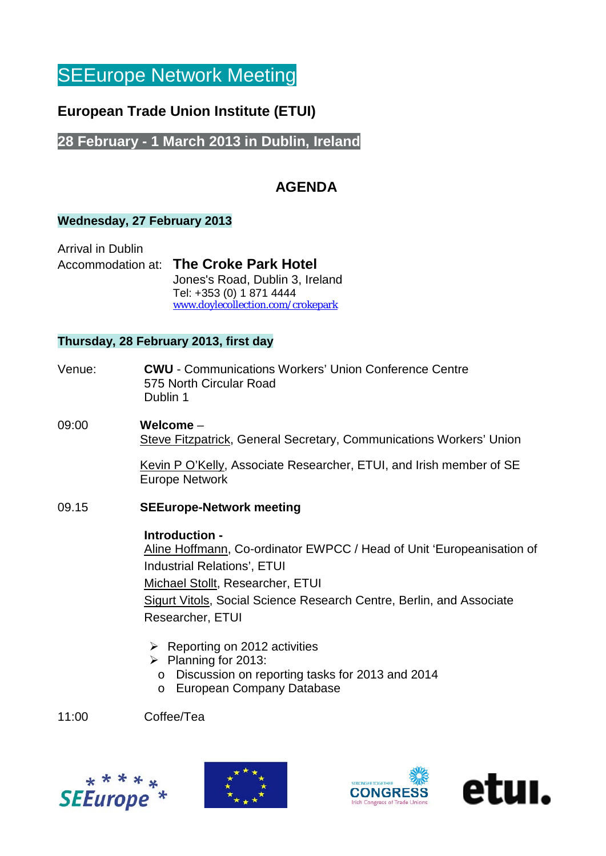# **SEEurope Network Meeting**

## **European Trade Union Institute (ETUI)**

### **28 February - 1 March 2013 in Dublin, Ireland**

## **AGENDA**

#### **Wednesday, 27 February 2013**

Arrival in Dublin

#### Accommodation at: **The Croke Park Hotel**

[Jones's Road, Dublin 3, Ireland](http://www.doylecollection.com/locations/dublin_hotels/the_croke_park_hotel/travel/map.aspx) Tel: +353 (0) 1 871 4444 [www.doylecollection.com/crokepark](http://www.doylecollection.com/crokepark)

#### **Thursday, 28 February 2013, first day**

- Venue: **CWU** Communications Workers' Union Conference Centre 575 North Circular Road Dublin 1
- 09:00 **Welcome**  Steve Fitzpatrick, General Secretary, Communications Workers' Union

Kevin P O'Kelly, Associate Researcher, ETUI, and Irish member of SE Europe Network

#### 09.15 **SEEurope-Network meeting**

#### **Introduction -**

Aline Hoffmann, Co-ordinator EWPCC / Head of Unit 'Europeanisation of Industrial Relations', ETUI Michael Stollt, Researcher, ETUI Sigurt Vitols, Social Science Research Centre, Berlin, and Associate Researcher, ETUI

- $\triangleright$  Reporting on 2012 activities
- $\triangleright$  Planning for 2013:
	- o Discussion on reporting tasks for 2013 and 2014
	- o European Company Database

11:00 Coffee/Tea





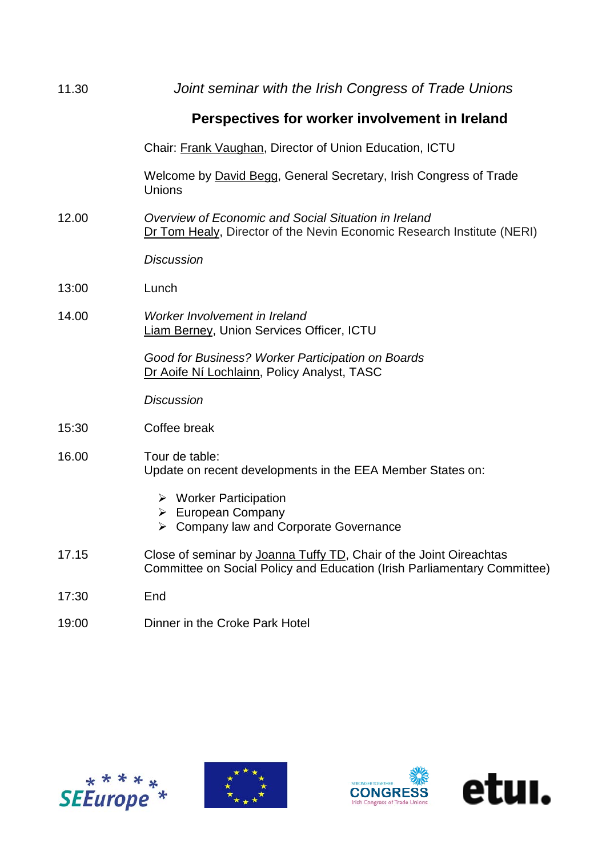| 11.30 | Joint seminar with the Irish Congress of Trade Unions                                                                                          |
|-------|------------------------------------------------------------------------------------------------------------------------------------------------|
|       | Perspectives for worker involvement in Ireland                                                                                                 |
|       | Chair: Frank Vaughan, Director of Union Education, ICTU                                                                                        |
|       | Welcome by David Begg, General Secretary, Irish Congress of Trade<br>Unions                                                                    |
| 12.00 | Overview of Economic and Social Situation in Ireland<br>Dr Tom Healy, Director of the Nevin Economic Research Institute (NERI)                 |
|       | <b>Discussion</b>                                                                                                                              |
| 13:00 | Lunch                                                                                                                                          |
| 14.00 | Worker Involvement in Ireland<br>Liam Berney, Union Services Officer, ICTU                                                                     |
|       | Good for Business? Worker Participation on Boards<br>Dr Aoife Ní Lochlainn, Policy Analyst, TASC                                               |
|       | <b>Discussion</b>                                                                                                                              |
| 15:30 | Coffee break                                                                                                                                   |
| 16.00 | Tour de table:<br>Update on recent developments in the EEA Member States on:                                                                   |
|       | $\triangleright$ Worker Participation<br><b>European Company</b><br>> Company law and Corporate Governance                                     |
| 17.15 | Close of seminar by Joanna Tuffy TD, Chair of the Joint Oireachtas<br>Committee on Social Policy and Education (Irish Parliamentary Committee) |
| 17:30 | End                                                                                                                                            |
| 19:00 | Dinner in the Croke Park Hotel                                                                                                                 |